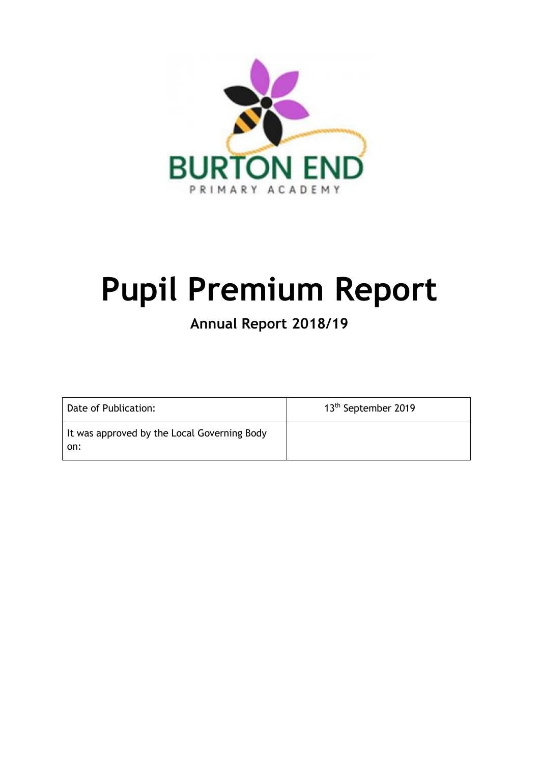

# **Pupil Premium Report**

# **Annual Report 2018/19**

| Date of Publication:                               | 13 <sup>th</sup> September 2019 |
|----------------------------------------------------|---------------------------------|
| It was approved by the Local Governing Body<br>on: |                                 |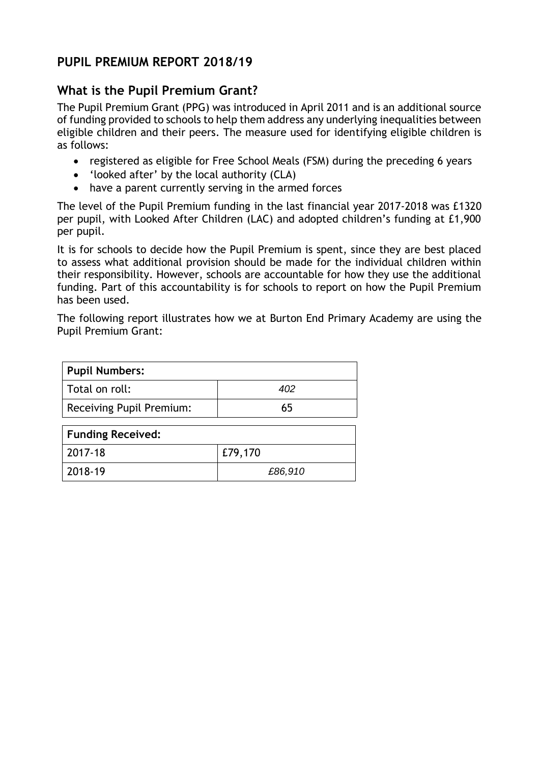# **PUPIL PREMIUM REPORT 2018/19**

# **What is the Pupil Premium Grant?**

The Pupil Premium Grant (PPG) was introduced in April 2011 and is an additional source of funding provided to schools to help them address any underlying inequalities between eligible children and their peers. The measure used for identifying eligible children is as follows:

- registered as eligible for Free School Meals (FSM) during the preceding 6 years
- 'looked after' by the local authority (CLA)
- have a parent currently serving in the armed forces

The level of the Pupil Premium funding in the last financial year 2017-2018 was £1320 per pupil, with Looked After Children (LAC) and adopted children's funding at £1,900 per pupil.

It is for schools to decide how the Pupil Premium is spent, since they are best placed to assess what additional provision should be made for the individual children within their responsibility. However, schools are accountable for how they use the additional funding. Part of this accountability is for schools to report on how the Pupil Premium has been used.

The following report illustrates how we at Burton End Primary Academy are using the Pupil Premium Grant:

| <b>Pupil Numbers:</b>           |     |
|---------------------------------|-----|
| Total on roll:                  | 402 |
| <b>Receiving Pupil Premium:</b> | 65  |
| <b>Funding Received:</b>        |     |

| , . anianis novoni vai |         |
|------------------------|---------|
| 2017-18                | E79,170 |
| 2018-19                | £86,910 |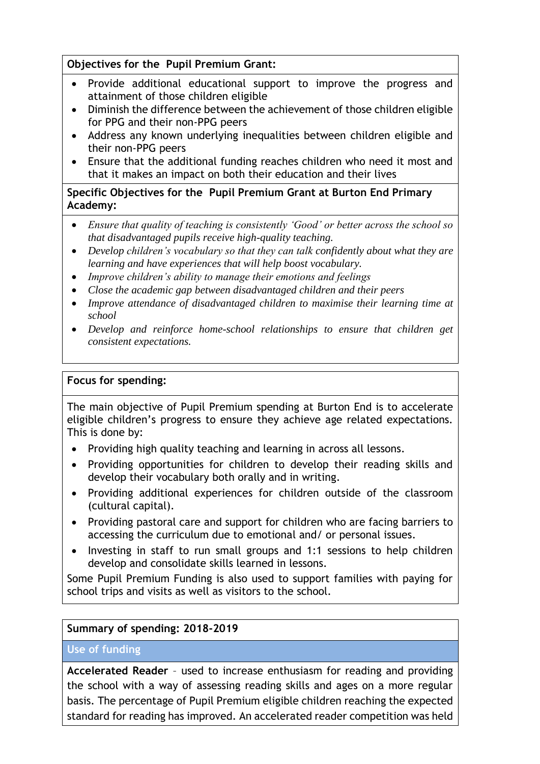#### **Objectives for the Pupil Premium Grant:**

- Provide additional educational support to improve the progress and attainment of those children eligible
- Diminish the difference between the achievement of those children eligible for PPG and their non-PPG peers
- Address any known underlying inequalities between children eligible and their non-PPG peers
- Ensure that the additional funding reaches children who need it most and that it makes an impact on both their education and their lives

**Specific Objectives for the Pupil Premium Grant at Burton End Primary Academy:**

- *Ensure that quality of teaching is consistently 'Good' or better across the school so that disadvantaged pupils receive high-quality teaching.*
- *Develop children's vocabulary so that they can talk confidently about what they are learning and have experiences that will help boost vocabulary.*
- *Improve children's ability to manage their emotions and feelings*
- *Close the academic gap between disadvantaged children and their peers*
- *Improve attendance of disadvantaged children to maximise their learning time at school*
- *Develop and reinforce home-school relationships to ensure that children get consistent expectations.*

#### **Focus for spending:**

The main objective of Pupil Premium spending at Burton End is to accelerate eligible children's progress to ensure they achieve age related expectations. This is done by:

- Providing high quality teaching and learning in across all lessons.
- Providing opportunities for children to develop their reading skills and develop their vocabulary both orally and in writing.
- Providing additional experiences for children outside of the classroom (cultural capital).
- Providing pastoral care and support for children who are facing barriers to accessing the curriculum due to emotional and/ or personal issues.
- Investing in staff to run small groups and 1:1 sessions to help children develop and consolidate skills learned in lessons.

Some Pupil Premium Funding is also used to support families with paying for school trips and visits as well as visitors to the school.

#### **Summary of spending: 2018-2019**

#### **Use of funding**

**Accelerated Reader** – used to increase enthusiasm for reading and providing the school with a way of assessing reading skills and ages on a more regular basis. The percentage of Pupil Premium eligible children reaching the expected standard for reading has improved. An accelerated reader competition was held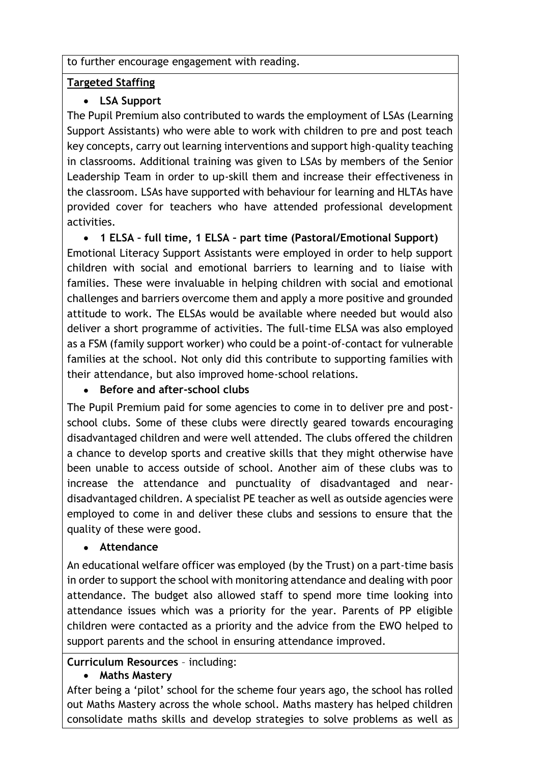#### to further encourage engagement with reading.

#### **Targeted Staffing**

# **LSA Support**

The Pupil Premium also contributed to wards the employment of LSAs (Learning Support Assistants) who were able to work with children to pre and post teach key concepts, carry out learning interventions and support high-quality teaching in classrooms. Additional training was given to LSAs by members of the Senior Leadership Team in order to up-skill them and increase their effectiveness in the classroom. LSAs have supported with behaviour for learning and HLTAs have provided cover for teachers who have attended professional development activities.

 **1 ELSA – full time, 1 ELSA – part time (Pastoral/Emotional Support)** Emotional Literacy Support Assistants were employed in order to help support children with social and emotional barriers to learning and to liaise with families. These were invaluable in helping children with social and emotional challenges and barriers overcome them and apply a more positive and grounded attitude to work. The ELSAs would be available where needed but would also deliver a short programme of activities. The full-time ELSA was also employed as a FSM (family support worker) who could be a point-of-contact for vulnerable families at the school. Not only did this contribute to supporting families with their attendance, but also improved home-school relations.

#### **Before and after-school clubs**

The Pupil Premium paid for some agencies to come in to deliver pre and postschool clubs. Some of these clubs were directly geared towards encouraging disadvantaged children and were well attended. The clubs offered the children a chance to develop sports and creative skills that they might otherwise have been unable to access outside of school. Another aim of these clubs was to increase the attendance and punctuality of disadvantaged and neardisadvantaged children. A specialist PE teacher as well as outside agencies were employed to come in and deliver these clubs and sessions to ensure that the quality of these were good.

#### **Attendance**

An educational welfare officer was employed (by the Trust) on a part-time basis in order to support the school with monitoring attendance and dealing with poor attendance. The budget also allowed staff to spend more time looking into attendance issues which was a priority for the year. Parents of PP eligible children were contacted as a priority and the advice from the EWO helped to support parents and the school in ensuring attendance improved.

#### **Curriculum Resources** – including:

#### **Maths Mastery**

After being a 'pilot' school for the scheme four years ago, the school has rolled out Maths Mastery across the whole school. Maths mastery has helped children consolidate maths skills and develop strategies to solve problems as well as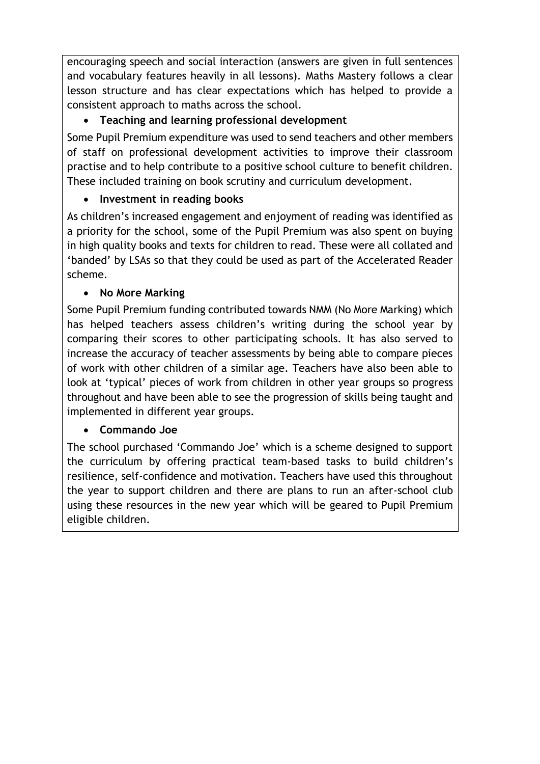encouraging speech and social interaction (answers are given in full sentences and vocabulary features heavily in all lessons). Maths Mastery follows a clear lesson structure and has clear expectations which has helped to provide a consistent approach to maths across the school.

# **Teaching and learning professional development**

Some Pupil Premium expenditure was used to send teachers and other members of staff on professional development activities to improve their classroom practise and to help contribute to a positive school culture to benefit children. These included training on book scrutiny and curriculum development.

# **Investment in reading books**

As children's increased engagement and enjoyment of reading was identified as a priority for the school, some of the Pupil Premium was also spent on buying in high quality books and texts for children to read. These were all collated and 'banded' by LSAs so that they could be used as part of the Accelerated Reader scheme.

# **No More Marking**

Some Pupil Premium funding contributed towards NMM (No More Marking) which has helped teachers assess children's writing during the school year by comparing their scores to other participating schools. It has also served to increase the accuracy of teacher assessments by being able to compare pieces of work with other children of a similar age. Teachers have also been able to look at 'typical' pieces of work from children in other year groups so progress throughout and have been able to see the progression of skills being taught and implemented in different year groups.

# **Commando Joe**

The school purchased 'Commando Joe' which is a scheme designed to support the curriculum by offering practical team-based tasks to build children's resilience, self-confidence and motivation. Teachers have used this throughout the year to support children and there are plans to run an after-school club using these resources in the new year which will be geared to Pupil Premium eligible children.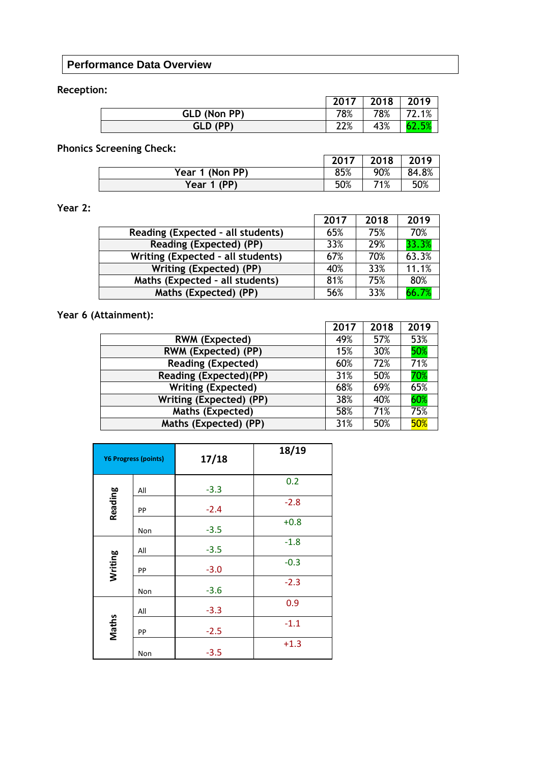#### **Performance Data Overview**

#### **Reception:**

|              | 2017 | 2018 | 2019       |
|--------------|------|------|------------|
| GLD (Non PP) | 78%  | 78%  | 2.1%<br>רד |
| GLD (PP)     | 22%  | 43%  |            |

# **Phonics Screening Check:**

|                 | 2017 | 2018 | 2019  |
|-----------------|------|------|-------|
| Year 1 (Non PP) | 85%  | 90%  | 84.8% |
| Year 1 (PP)     | 50%  | 71%  | 50%   |

#### **Year 2:**

|                                   | 2017 | 2018 | 2019  |
|-----------------------------------|------|------|-------|
| Reading (Expected - all students) | 65%  | 75%  | 70%   |
| Reading (Expected) (PP)           | 33%  | 29%  | 33.3% |
| Writing (Expected - all students) | 67%  | 70%  | 63.3% |
| Writing (Expected) (PP)           | 40%  | 33%  | 11.1% |
| Maths (Expected - all students)   | 81%  | 75%  | 80%   |
| Maths (Expected) (PP)             | 56%  | 33%  | 66.7% |

# **Year 6 (Attainment):**

|                           | 2017 | 2018 | 2019 |
|---------------------------|------|------|------|
| <b>RWM (Expected)</b>     | 49%  | 57%  | 53%  |
| RWM (Expected) (PP)       | 15%  | 30%  | 50%  |
| <b>Reading (Expected)</b> | 60%  | 72%  | 71%  |
| Reading (Expected)(PP)    | 31%  | 50%  | 70%  |
| <b>Writing (Expected)</b> | 68%  | 69%  | 65%  |
| Writing (Expected) (PP)   | 38%  | 40%  | 60%  |
| <b>Maths (Expected)</b>   | 58%  | 71%  | 75%  |
| Maths (Expected) (PP)     | 31%  | 50%  | 50%  |

|                | <b>Y6 Progress (points)</b> | 17/18  | 18/19  |
|----------------|-----------------------------|--------|--------|
|                | All                         | $-3.3$ | 0.2    |
| <b>Reading</b> | PP                          | $-2.4$ | $-2.8$ |
|                | Non                         | $-3.5$ | $+0.8$ |
| Writing        | All                         | $-3.5$ | $-1.8$ |
|                | PP                          | $-3.0$ | $-0.3$ |
|                | Non                         | $-3.6$ | $-2.3$ |
| Maths          | All                         | $-3.3$ | 0.9    |
|                | PP                          | $-2.5$ | $-1.1$ |
|                | Non                         | $-3.5$ | $+1.3$ |